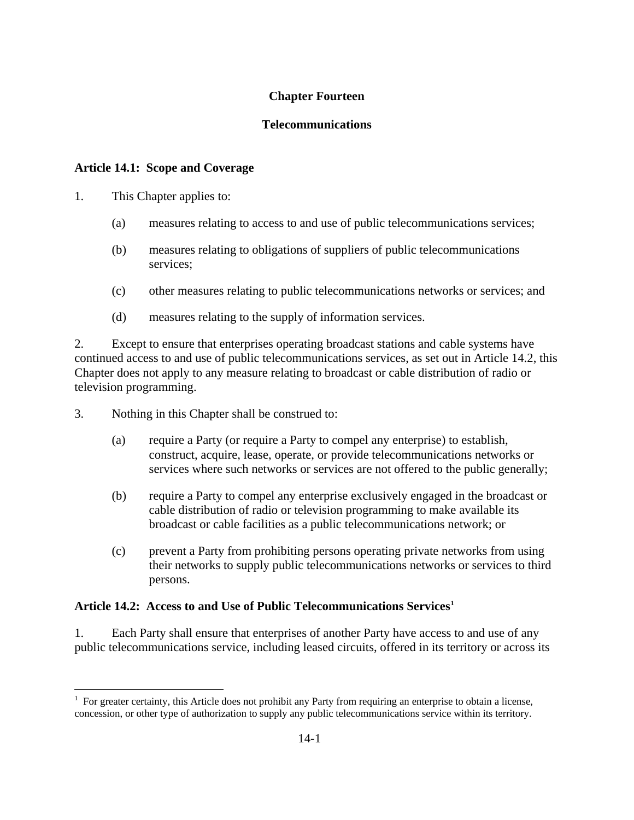## **Chapter Fourteen**

## **Telecommunications**

#### **Article 14.1: Scope and Coverage**

1. This Chapter applies to:

 $\overline{a}$ 

- (a) measures relating to access to and use of public telecommunications services;
- (b) measures relating to obligations of suppliers of public telecommunications services;
- (c) other measures relating to public telecommunications networks or services; and
- (d) measures relating to the supply of information services.

2. Except to ensure that enterprises operating broadcast stations and cable systems have continued access to and use of public telecommunications services, as set out in Article 14.2, this Chapter does not apply to any measure relating to broadcast or cable distribution of radio or television programming.

- 3. Nothing in this Chapter shall be construed to:
	- (a) require a Party (or require a Party to compel any enterprise) to establish, construct, acquire, lease, operate, or provide telecommunications networks or services where such networks or services are not offered to the public generally;
	- (b) require a Party to compel any enterprise exclusively engaged in the broadcast or cable distribution of radio or television programming to make available its broadcast or cable facilities as a public telecommunications network; or
	- (c) prevent a Party from prohibiting persons operating private networks from using their networks to supply public telecommunications networks or services to third persons.

### Article 14.2: Access to and Use of Public Telecommunications Services<sup>1</sup>

1. Each Party shall ensure that enterprises of another Party have access to and use of any public telecommunications service, including leased circuits, offered in its territory or across its

<span id="page-0-0"></span> $<sup>1</sup>$  For greater certainty, this Article does not prohibit any Party from requiring an enterprise to obtain a license,</sup> concession, or other type of authorization to supply any public telecommunications service within its territory.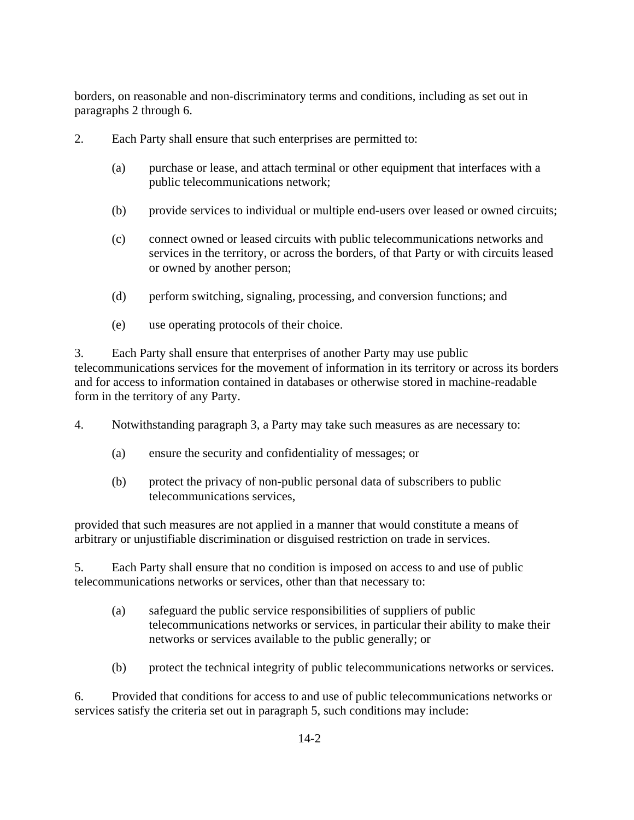borders, on reasonable and non-discriminatory terms and conditions, including as set out in paragraphs 2 through 6.

- 2. Each Party shall ensure that such enterprises are permitted to:
	- (a) purchase or lease, and attach terminal or other equipment that interfaces with a public telecommunications network;
	- (b) provide services to individual or multiple end-users over leased or owned circuits;
	- (c) connect owned or leased circuits with public telecommunications networks and services in the territory, or across the borders, of that Party or with circuits leased or owned by another person;
	- (d) perform switching, signaling, processing, and conversion functions; and
	- (e) use operating protocols of their choice.

3. Each Party shall ensure that enterprises of another Party may use public telecommunications services for the movement of information in its territory or across its borders and for access to information contained in databases or otherwise stored in machine-readable form in the territory of any Party.

- 4. Notwithstanding paragraph 3, a Party may take such measures as are necessary to:
	- (a) ensure the security and confidentiality of messages; or
	- (b) protect the privacy of non-public personal data of subscribers to public telecommunications services,

provided that such measures are not applied in a manner that would constitute a means of arbitrary or unjustifiable discrimination or disguised restriction on trade in services.

5. Each Party shall ensure that no condition is imposed on access to and use of public telecommunications networks or services, other than that necessary to:

- (a) safeguard the public service responsibilities of suppliers of public telecommunications networks or services, in particular their ability to make their networks or services available to the public generally; or
- (b) protect the technical integrity of public telecommunications networks or services.

6.Provided that conditions for access to and use of public telecommunications networks or services satisfy the criteria set out in paragraph 5, such conditions may include: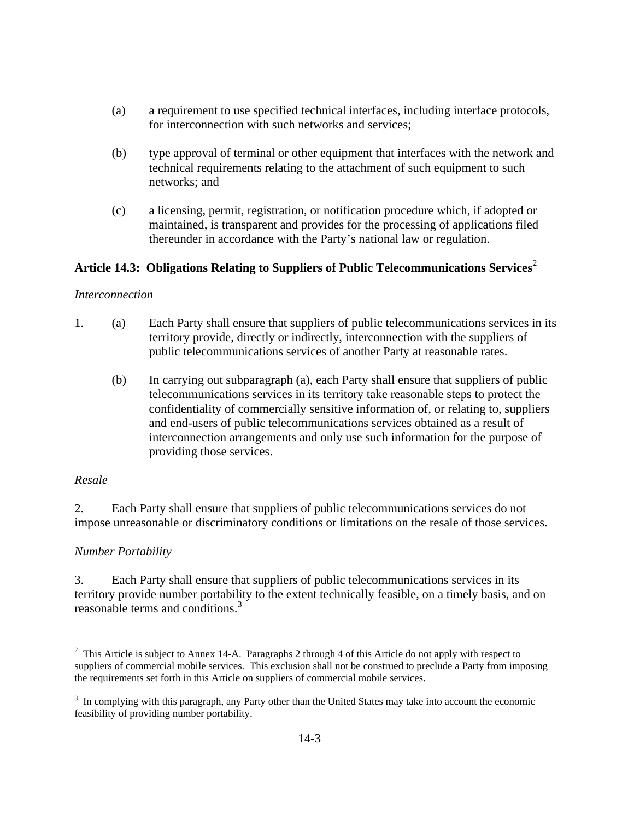- (a) a requirement to use specified technical interfaces, including interface protocols, for interconnection with such networks and services;
- (b) type approval of terminal or other equipment that interfaces with the network and technical requirements relating to the attachment of such equipment to such networks; and
- (c) a licensing, permit, registration, or notification procedure which, if adopted or maintained, is transparent and provides for the processing of applications filed thereunder in accordance with the Party's national law or regulation.

### Article 14.3: Obligations Relating to Suppliers of Public Telecommunications Services<sup>[2](#page-2-0)</sup>

#### *Interconnection*

- 1. (a) Each Party shall ensure that suppliers of public telecommunications services in its territory provide, directly or indirectly, interconnection with the suppliers of public telecommunications services of another Party at reasonable rates.
	- (b) In carrying out subparagraph (a), each Party shall ensure that suppliers of public telecommunications services in its territory take reasonable steps to protect the confidentiality of commercially sensitive information of, or relating to, suppliers and end-users of public telecommunications services obtained as a result of interconnection arrangements and only use such information for the purpose of providing those services.

### *Resale*

 $\overline{a}$ 

2. Each Party shall ensure that suppliers of public telecommunications services do not impose unreasonable or discriminatory conditions or limitations on the resale of those services.

### *Number Portability*

3. Each Party shall ensure that suppliers of public telecommunications services in its territory provide number portability to the extent technically feasible, on a timely basis, and on reasonable terms and conditions.<sup>[3](#page-2-1)</sup>

<span id="page-2-0"></span><sup>&</sup>lt;sup>2</sup> This Article is subject to Annex 14-A. Paragraphs 2 through 4 of this Article do not apply with respect to suppliers of commercial mobile services. This exclusion shall not be construed to preclude a Party from imposing the requirements set forth in this Article on suppliers of commercial mobile services.

<span id="page-2-1"></span><sup>&</sup>lt;sup>3</sup> In complying with this paragraph, any Party other than the United States may take into account the economic feasibility of providing number portability.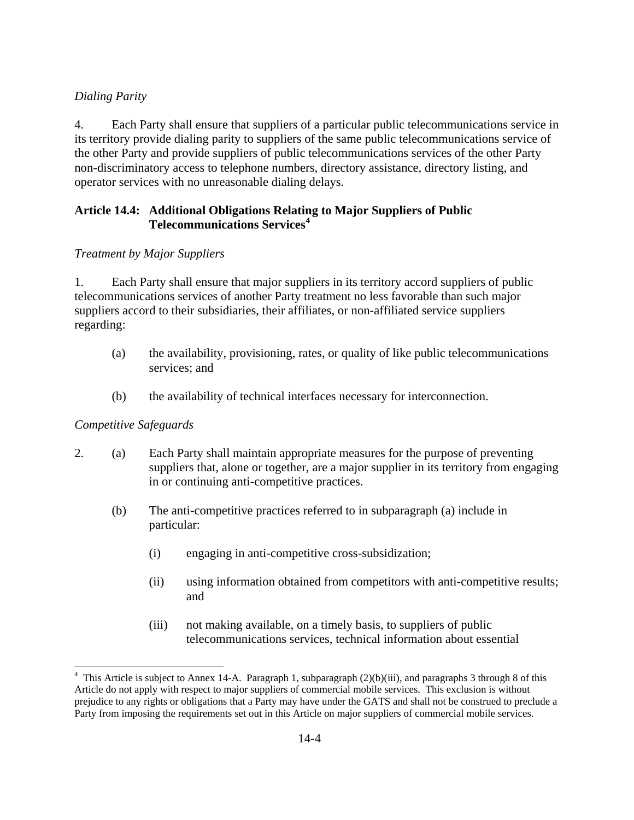## *Dialing Parity*

4. Each Party shall ensure that suppliers of a particular public telecommunications service in its territory provide dialing parity to suppliers of the same public telecommunications service of the other Party and provide suppliers of public telecommunications services of the other Party non-discriminatory access to telephone numbers, directory assistance, directory listing, and operator services with no unreasonable dialing delays.

## **Article 14.4: Additional Obligations Relating to Major Suppliers of Public Telecommunications Services[4](#page-3-0)**

### *Treatment by Major Suppliers*

1. Each Party shall ensure that major suppliers in its territory accord suppliers of public telecommunications services of another Party treatment no less favorable than such major suppliers accord to their subsidiaries, their affiliates, or non-affiliated service suppliers regarding:

- (a) the availability, provisioning, rates, or quality of like public telecommunications services; and
- (b) the availability of technical interfaces necessary for interconnection.

### *Competitive Safeguards*

- 2. (a) Each Party shall maintain appropriate measures for the purpose of preventing suppliers that, alone or together, are a major supplier in its territory from engaging in or continuing anti-competitive practices.
	- (b) The anti-competitive practices referred to in subparagraph (a) include in particular:
		- (i) engaging in anti-competitive cross-subsidization;
		- (ii) using information obtained from competitors with anti-competitive results; and
		- (iii) not making available, on a timely basis, to suppliers of public telecommunications services, technical information about essential

<span id="page-3-0"></span> $\overline{a}$ <sup>4</sup> This Article is subject to Annex 14-A. Paragraph 1, subparagraph (2)(b)(iii), and paragraphs 3 through 8 of this Article do not apply with respect to major suppliers of commercial mobile services.This exclusion is without prejudice to any rights or obligations that a Party may have under the GATS and shall not be construed to preclude a Party from imposing the requirements set out in this Article on major suppliers of commercial mobile services.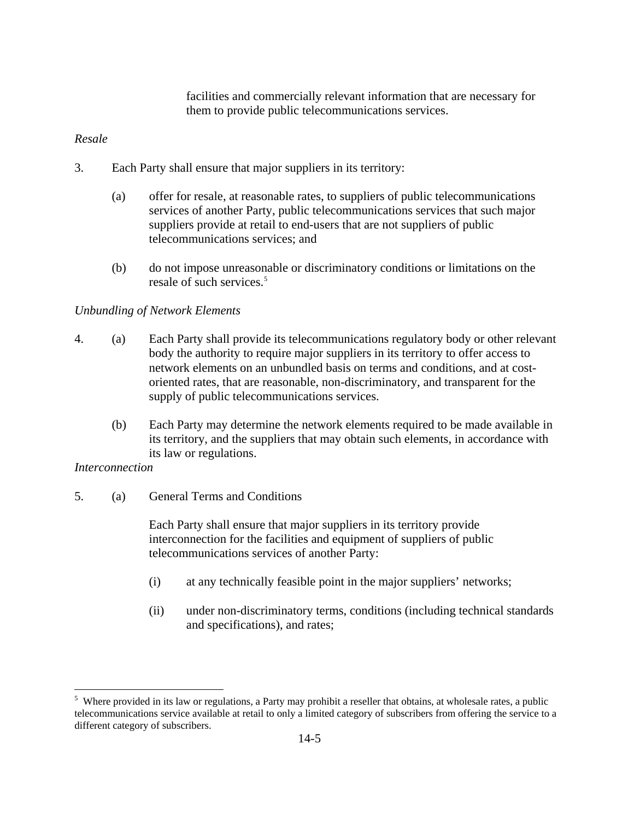facilities and commercially relevant information that are necessary for them to provide public telecommunications services.

#### *Resale*

- 3. Each Party shall ensure that major suppliers in its territory:
	- (a) offer for resale, at reasonable rates, to suppliers of public telecommunications services of another Party, public telecommunications services that such major suppliers provide at retail to end-users that are not suppliers of public telecommunications services; and
	- (b) do not impose unreasonable or discriminatory conditions or limitations on the resale of such services.<sup>[5](#page-4-0)</sup>

#### *Unbundling of Network Elements*

- 4. (a) Each Party shall provide its telecommunications regulatory body or other relevant body the authority to require major suppliers in its territory to offer access to network elements on an unbundled basis on terms and conditions, and at costoriented rates, that are reasonable, non-discriminatory, and transparent for the supply of public telecommunications services.
	- (b) Each Party may determine the network elements required to be made available in its territory, and the suppliers that may obtain such elements, in accordance with its law or regulations.

#### *Interconnection*

 $\overline{a}$ 

5. (a) General Terms and Conditions

Each Party shall ensure that major suppliers in its territory provide interconnection for the facilities and equipment of suppliers of public telecommunications services of another Party:

- (i) at any technically feasible point in the major suppliers' networks;
- (ii) under non-discriminatory terms, conditions (including technical standards and specifications), and rates;

<span id="page-4-0"></span> $5$  Where provided in its law or regulations, a Party may prohibit a reseller that obtains, at wholesale rates, a public telecommunications service available at retail to only a limited category of subscribers from offering the service to a different category of subscribers.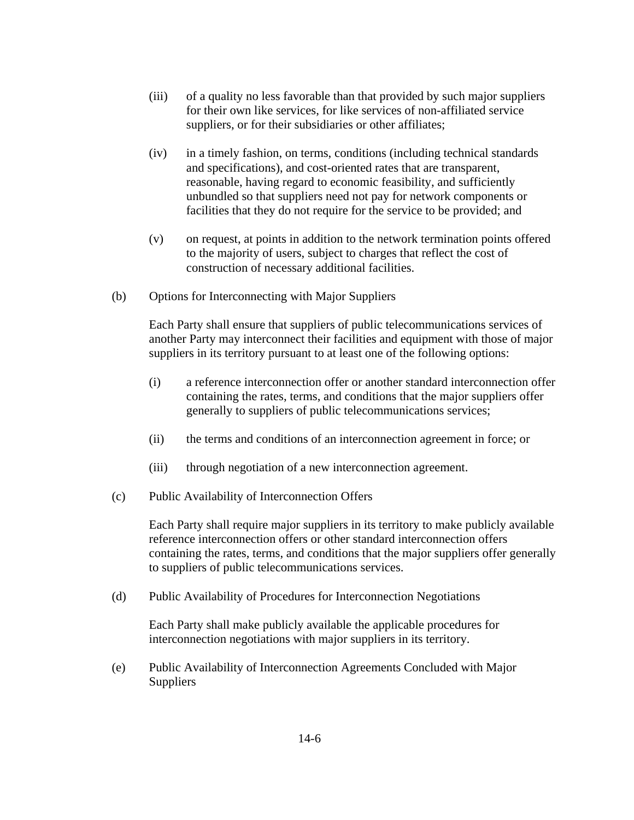- (iii) of a quality no less favorable than that provided by such major suppliers for their own like services, for like services of non-affiliated service suppliers, or for their subsidiaries or other affiliates;
- (iv) in a timely fashion, on terms, conditions (including technical standards and specifications), and cost-oriented rates that are transparent, reasonable, having regard to economic feasibility, and sufficiently unbundled so that suppliers need not pay for network components or facilities that they do not require for the service to be provided; and
- (v) on request, at points in addition to the network termination points offered to the majority of users, subject to charges that reflect the cost of construction of necessary additional facilities.
- (b) Options for Interconnecting with Major Suppliers

Each Party shall ensure that suppliers of public telecommunications services of another Party may interconnect their facilities and equipment with those of major suppliers in its territory pursuant to at least one of the following options:

- (i) a reference interconnection offer or another standard interconnection offer containing the rates, terms, and conditions that the major suppliers offer generally to suppliers of public telecommunications services;
- (ii) the terms and conditions of an interconnection agreement in force; or
- (iii) through negotiation of a new interconnection agreement.
- (c) Public Availability of Interconnection Offers

Each Party shall require major suppliers in its territory to make publicly available reference interconnection offers or other standard interconnection offers containing the rates, terms, and conditions that the major suppliers offer generally to suppliers of public telecommunications services.

(d) Public Availability of Procedures for Interconnection Negotiations

Each Party shall make publicly available the applicable procedures for interconnection negotiations with major suppliers in its territory.

(e) Public Availability of Interconnection Agreements Concluded with Major Suppliers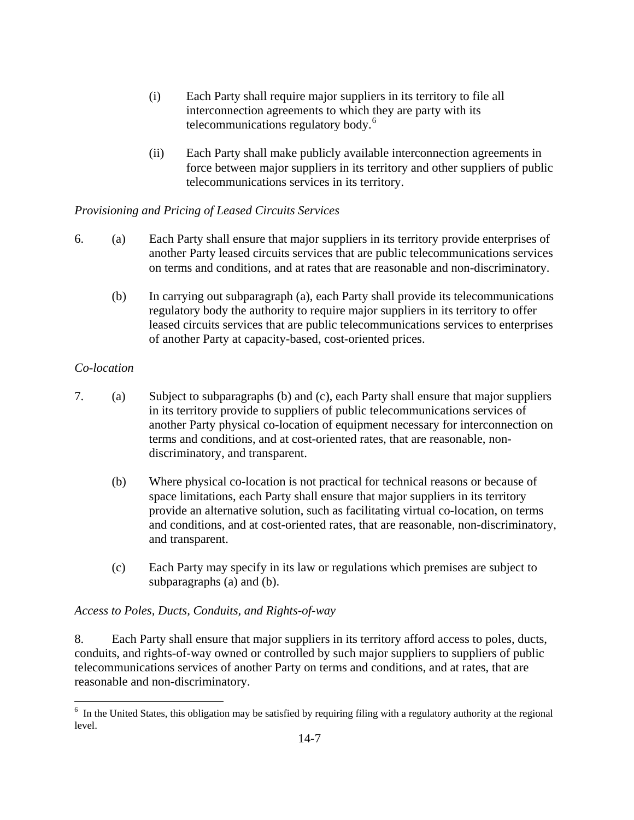- (i) Each Party shall require major suppliers in its territory to file all interconnection agreements to which they are party with its telecommunications regulatory body.<sup>[6](#page-6-0)</sup>
- (ii) Each Party shall make publicly available interconnection agreements in force between major suppliers in its territory and other suppliers of public telecommunications services in its territory.

#### *Provisioning and Pricing of Leased Circuits Services*

- 6. (a) Each Party shall ensure that major suppliers in its territory provide enterprises of another Party leased circuits services that are public telecommunications services on terms and conditions, and at rates that are reasonable and non-discriminatory.
	- (b) In carrying out subparagraph (a), each Party shall provide its telecommunications regulatory body the authority to require major suppliers in its territory to offer leased circuits services that are public telecommunications services to enterprises of another Party at capacity-based, cost-oriented prices.

#### *Co-location*

 $\overline{a}$ 

- 7. (a) Subject to subparagraphs (b) and (c), each Party shall ensure that major suppliers in its territory provide to suppliers of public telecommunications services of another Party physical co-location of equipment necessary for interconnection on terms and conditions, and at cost-oriented rates, that are reasonable, nondiscriminatory, and transparent.
	- (b) Where physical co-location is not practical for technical reasons or because of space limitations, each Party shall ensure that major suppliers in its territory provide an alternative solution, such as facilitating virtual co-location, on terms and conditions, and at cost-oriented rates, that are reasonable, non-discriminatory, and transparent.
	- (c) Each Party may specify in its law or regulations which premises are subject to subparagraphs (a) and (b).

#### *Access to Poles, Ducts, Conduits, and Rights-of-way*

8. Each Party shall ensure that major suppliers in its territory afford access to poles, ducts, conduits, and rights-of-way owned or controlled by such major suppliers to suppliers of public telecommunications services of another Party on terms and conditions, and at rates, that are reasonable and non-discriminatory.

<span id="page-6-0"></span><sup>&</sup>lt;sup>6</sup> In the United States, this obligation may be satisfied by requiring filing with a regulatory authority at the regional level.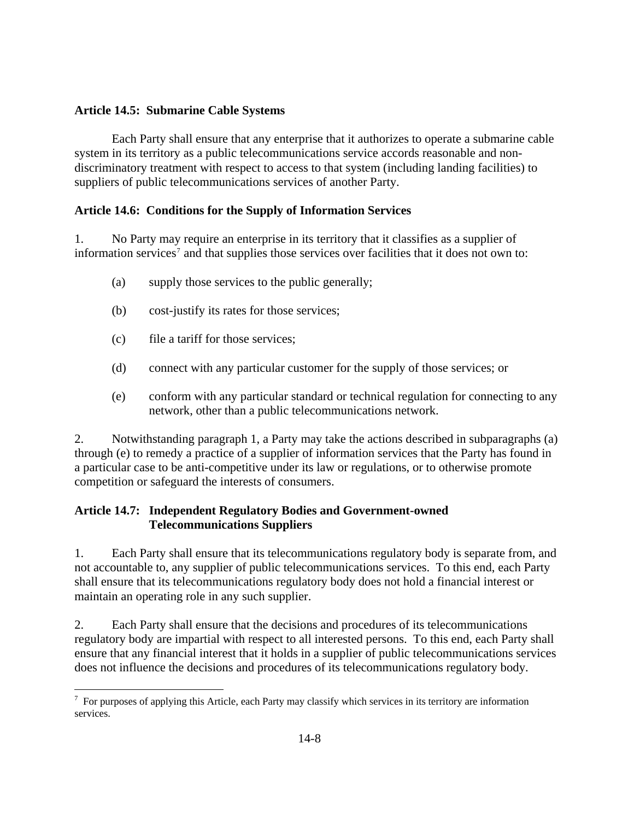#### **Article 14.5: Submarine Cable Systems**

 Each Party shall ensure that any enterprise that it authorizes to operate a submarine cable system in its territory as a public telecommunications service accords reasonable and nondiscriminatory treatment with respect to access to that system (including landing facilities) to suppliers of public telecommunications services of another Party.

#### **Article 14.6: Conditions for the Supply of Information Services**

1. No Party may require an enterprise in its territory that it classifies as a supplier of information services<sup>[7](#page-7-0)</sup> and that supplies those services over facilities that it does not own to:

- (a) supply those services to the public generally;
- (b) cost-justify its rates for those services;
- (c) file a tariff for those services;

 $\overline{a}$ 

- (d) connect with any particular customer for the supply of those services; or
- (e) conform with any particular standard or technical regulation for connecting to any network, other than a public telecommunications network.

2. Notwithstanding paragraph 1, a Party may take the actions described in subparagraphs (a) through (e) to remedy a practice of a supplier of information services that the Party has found in a particular case to be anti-competitive under its law or regulations, or to otherwise promote competition or safeguard the interests of consumers.

### **Article 14.7: Independent Regulatory Bodies and Government-owned Telecommunications Suppliers**

1. Each Party shall ensure that its telecommunications regulatory body is separate from, and not accountable to, any supplier of public telecommunications services. To this end, each Party shall ensure that its telecommunications regulatory body does not hold a financial interest or maintain an operating role in any such supplier.

2. Each Party shall ensure that the decisions and procedures of its telecommunications regulatory body are impartial with respect to all interested persons. To this end, each Party shall ensure that any financial interest that it holds in a supplier of public telecommunications services does not influence the decisions and procedures of its telecommunications regulatory body.

<span id="page-7-0"></span> $<sup>7</sup>$  For purposes of applying this Article, each Party may classify which services in its territory are information</sup> services.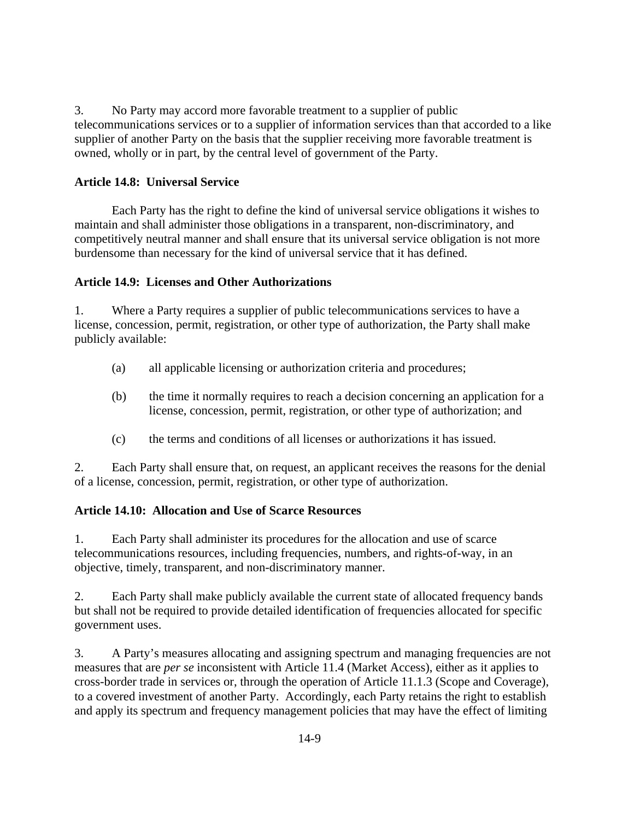3. No Party may accord more favorable treatment to a supplier of public telecommunications services or to a supplier of information services than that accorded to a like supplier of another Party on the basis that the supplier receiving more favorable treatment is owned, wholly or in part, by the central level of government of the Party.

## **Article 14.8: Universal Service**

 Each Party has the right to define the kind of universal service obligations it wishes to maintain and shall administer those obligations in a transparent, non-discriminatory, and competitively neutral manner and shall ensure that its universal service obligation is not more burdensome than necessary for the kind of universal service that it has defined.

# **Article 14.9: Licenses and Other Authorizations**

1. Where a Party requires a supplier of public telecommunications services to have a license, concession, permit, registration, or other type of authorization, the Party shall make publicly available:

- (a) all applicable licensing or authorization criteria and procedures;
- (b) the time it normally requires to reach a decision concerning an application for a license, concession, permit, registration, or other type of authorization; and
- (c) the terms and conditions of all licenses or authorizations it has issued.

2. Each Party shall ensure that, on request, an applicant receives the reasons for the denial of a license, concession, permit, registration, or other type of authorization.

# **Article 14.10: Allocation and Use of Scarce Resources**

1. Each Party shall administer its procedures for the allocation and use of scarce telecommunications resources, including frequencies, numbers, and rights-of-way, in an objective, timely, transparent, and non-discriminatory manner.

2. Each Party shall make publicly available the current state of allocated frequency bands but shall not be required to provide detailed identification of frequencies allocated for specific government uses.

3. A Party's measures allocating and assigning spectrum and managing frequencies are not measures that are *per se* inconsistent with Article 11.4 (Market Access), either as it applies to cross-border trade in services or, through the operation of Article 11.1.3 (Scope and Coverage), to a covered investment of another Party. Accordingly, each Party retains the right to establish and apply its spectrum and frequency management policies that may have the effect of limiting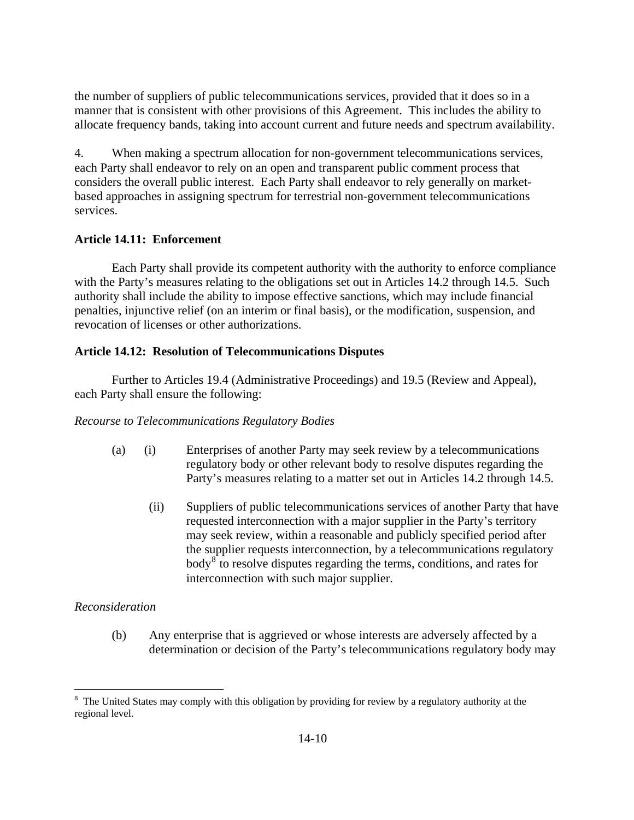the number of suppliers of public telecommunications services, provided that it does so in a manner that is consistent with other provisions of this Agreement. This includes the ability to allocate frequency bands, taking into account current and future needs and spectrum availability.

4. When making a spectrum allocation for non-government telecommunications services, each Party shall endeavor to rely on an open and transparent public comment process that considers the overall public interest. Each Party shall endeavor to rely generally on marketbased approaches in assigning spectrum for terrestrial non-government telecommunications services.

# **Article 14.11: Enforcement**

 Each Party shall provide its competent authority with the authority to enforce compliance with the Party's measures relating to the obligations set out in Articles 14.2 through 14.5. Such authority shall include the ability to impose effective sanctions, which may include financial penalties, injunctive relief (on an interim or final basis), or the modification, suspension, and revocation of licenses or other authorizations.

# **Article 14.12: Resolution of Telecommunications Disputes**

 Further to Articles 19.4 (Administrative Proceedings) and 19.5 (Review and Appeal), each Party shall ensure the following:

### *Recourse to Telecommunications Regulatory Bodies*

- (a) (i) Enterprises of another Party may seek review by a telecommunications regulatory body or other relevant body to resolve disputes regarding the Party's measures relating to a matter set out in Articles 14.2 through 14.5.
	- (ii) Suppliers of public telecommunications services of another Party that have requested interconnection with a major supplier in the Party's territory may seek review, within a reasonable and publicly specified period after the supplier requests interconnection, by a telecommunications regulatory body<sup>[8](#page-9-0)</sup> to resolve disputes regarding the terms, conditions, and rates for interconnection with such major supplier.

# *Reconsideration*

 $\overline{a}$ 

(b) Any enterprise that is aggrieved or whose interests are adversely affected by a determination or decision of the Party's telecommunications regulatory body may

<span id="page-9-0"></span><sup>&</sup>lt;sup>8</sup> The United States may comply with this obligation by providing for review by a regulatory authority at the regional level.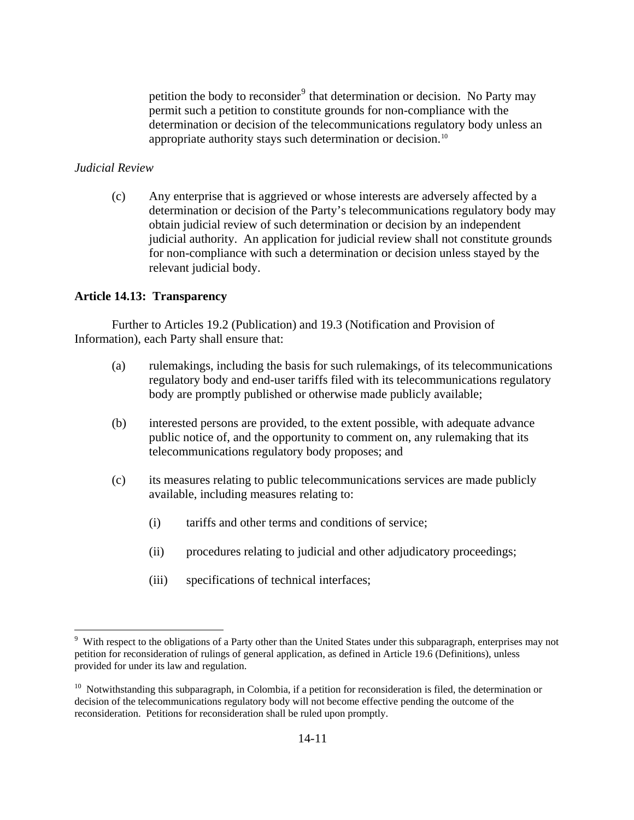petition the body to reconsider<sup>[9](#page-10-0)</sup> that determination or decision. No Party may permit such a petition to constitute grounds for non-compliance with the determination or decision of the telecommunications regulatory body unless an appropriate authority stays such determination or decision.<sup>[10](#page-10-1)</sup>

#### *Judicial Review*

 $\overline{a}$ 

(c) Any enterprise that is aggrieved or whose interests are adversely affected by a determination or decision of the Party's telecommunications regulatory body may obtain judicial review of such determination or decision by an independent judicial authority. An application for judicial review shall not constitute grounds for non-compliance with such a determination or decision unless stayed by the relevant judicial body.

#### **Article 14.13: Transparency**

 Further to Articles 19.2 (Publication) and 19.3 (Notification and Provision of Information), each Party shall ensure that:

- (a) rulemakings, including the basis for such rulemakings, of its telecommunications regulatory body and end-user tariffs filed with its telecommunications regulatory body are promptly published or otherwise made publicly available;
- (b) interested persons are provided, to the extent possible, with adequate advance public notice of, and the opportunity to comment on, any rulemaking that its telecommunications regulatory body proposes; and
- (c) its measures relating to public telecommunications services are made publicly available, including measures relating to:
	- (i) tariffs and other terms and conditions of service;
	- (ii) procedures relating to judicial and other adjudicatory proceedings;
	- (iii) specifications of technical interfaces;

<span id="page-10-0"></span><sup>&</sup>lt;sup>9</sup> With respect to the obligations of a Party other than the United States under this subparagraph, enterprises may not petition for reconsideration of rulings of general application, as defined in Article 19.6 (Definitions), unless provided for under its law and regulation.

<span id="page-10-1"></span> $10$  Notwithstanding this subparagraph, in Colombia, if a petition for reconsideration is filed, the determination or decision of the telecommunications regulatory body will not become effective pending the outcome of the reconsideration. Petitions for reconsideration shall be ruled upon promptly.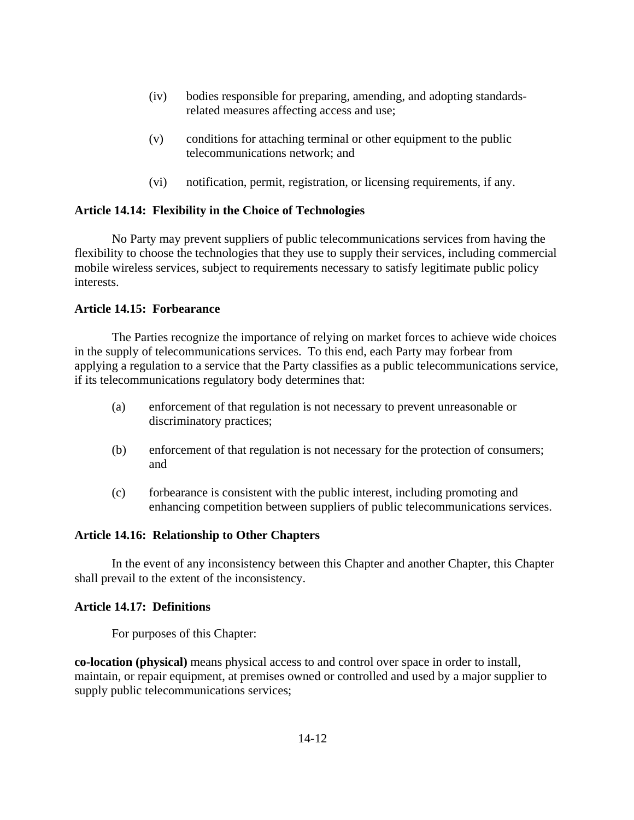- (iv) bodies responsible for preparing, amending, and adopting standardsrelated measures affecting access and use;
- (v) conditions for attaching terminal or other equipment to the public telecommunications network; and
- (vi) notification, permit, registration, or licensing requirements, if any.

# **Article 14.14: Flexibility in the Choice of Technologies**

 No Party may prevent suppliers of public telecommunications services from having the flexibility to choose the technologies that they use to supply their services, including commercial mobile wireless services, subject to requirements necessary to satisfy legitimate public policy interests.

### **Article 14.15: Forbearance**

 The Parties recognize the importance of relying on market forces to achieve wide choices in the supply of telecommunications services. To this end, each Party may forbear from applying a regulation to a service that the Party classifies as a public telecommunications service, if its telecommunications regulatory body determines that:

- (a) enforcement of that regulation is not necessary to prevent unreasonable or discriminatory practices;
- (b) enforcement of that regulation is not necessary for the protection of consumers; and
- (c) forbearance is consistent with the public interest, including promoting and enhancing competition between suppliers of public telecommunications services.

### **Article 14.16: Relationship to Other Chapters**

In the event of any inconsistency between this Chapter and another Chapter, this Chapter shall prevail to the extent of the inconsistency.

### **Article 14.17: Definitions**

For purposes of this Chapter:

**co-location (physical)** means physical access to and control over space in order to install, maintain, or repair equipment, at premises owned or controlled and used by a major supplier to supply public telecommunications services;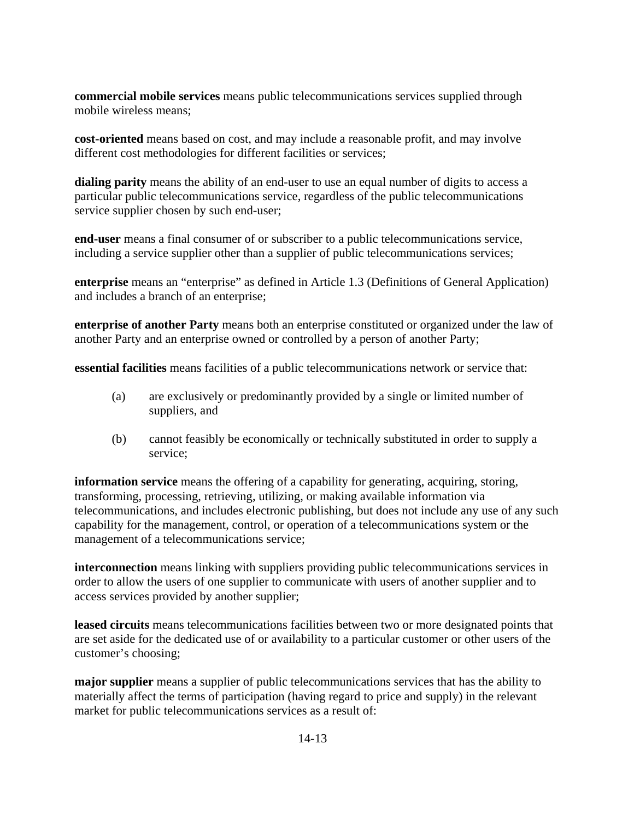**commercial mobile services** means public telecommunications services supplied through mobile wireless means;

**cost-oriented** means based on cost, and may include a reasonable profit, and may involve different cost methodologies for different facilities or services;

**dialing parity** means the ability of an end-user to use an equal number of digits to access a particular public telecommunications service, regardless of the public telecommunications service supplier chosen by such end-user;

**end-user** means a final consumer of or subscriber to a public telecommunications service, including a service supplier other than a supplier of public telecommunications services;

**enterprise** means an "enterprise" as defined in Article 1.3 (Definitions of General Application) and includes a branch of an enterprise;

**enterprise of another Party** means both an enterprise constituted or organized under the law of another Party and an enterprise owned or controlled by a person of another Party;

**essential facilities** means facilities of a public telecommunications network or service that:

- (a) are exclusively or predominantly provided by a single or limited number of suppliers, and
- (b) cannot feasibly be economically or technically substituted in order to supply a service;

**information service** means the offering of a capability for generating, acquiring, storing, transforming, processing, retrieving, utilizing, or making available information via telecommunications, and includes electronic publishing, but does not include any use of any such capability for the management, control, or operation of a telecommunications system or the management of a telecommunications service;

**interconnection** means linking with suppliers providing public telecommunications services in order to allow the users of one supplier to communicate with users of another supplier and to access services provided by another supplier;

**leased circuits** means telecommunications facilities between two or more designated points that are set aside for the dedicated use of or availability to a particular customer or other users of the customer's choosing;

**major supplier** means a supplier of public telecommunications services that has the ability to materially affect the terms of participation (having regard to price and supply) in the relevant market for public telecommunications services as a result of: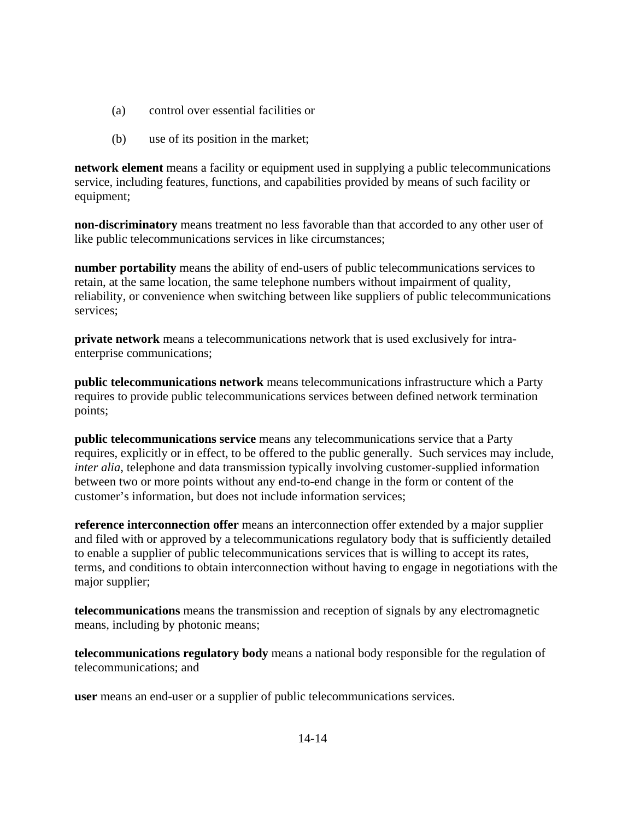- (a) control over essential facilities or
- (b) use of its position in the market;

**network element** means a facility or equipment used in supplying a public telecommunications service, including features, functions, and capabilities provided by means of such facility or equipment;

**non-discriminatory** means treatment no less favorable than that accorded to any other user of like public telecommunications services in like circumstances;

**number portability** means the ability of end-users of public telecommunications services to retain, at the same location, the same telephone numbers without impairment of quality, reliability, or convenience when switching between like suppliers of public telecommunications services;

**private network** means a telecommunications network that is used exclusively for intraenterprise communications;

**public telecommunications network** means telecommunications infrastructure which a Party requires to provide public telecommunications services between defined network termination points;

**public telecommunications service** means any telecommunications service that a Party requires, explicitly or in effect, to be offered to the public generally. Such services may include, *inter alia*, telephone and data transmission typically involving customer-supplied information between two or more points without any end-to-end change in the form or content of the customer's information, but does not include information services;

**reference interconnection offer** means an interconnection offer extended by a major supplier and filed with or approved by a telecommunications regulatory body that is sufficiently detailed to enable a supplier of public telecommunications services that is willing to accept its rates, terms, and conditions to obtain interconnection without having to engage in negotiations with the major supplier;

**telecommunications** means the transmission and reception of signals by any electromagnetic means, including by photonic means;

**telecommunications regulatory body** means a national body responsible for the regulation of telecommunications; and

**user** means an end-user or a supplier of public telecommunications services.